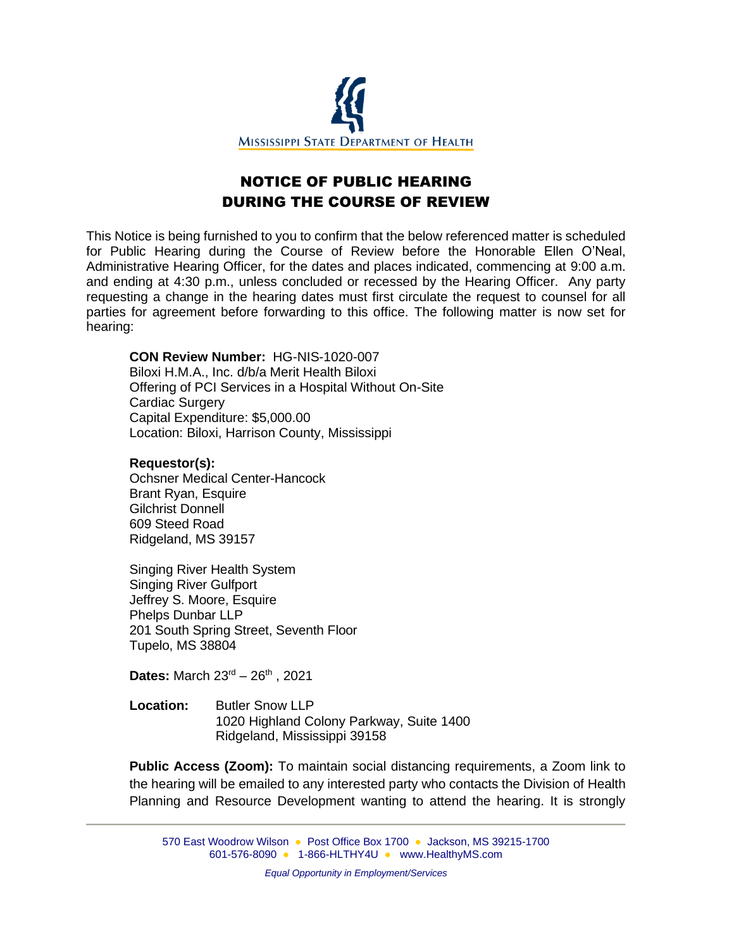

## NOTICE OF PUBLIC HEARING DURING THE COURSE OF REVIEW

This Notice is being furnished to you to confirm that the below referenced matter is scheduled for Public Hearing during the Course of Review before the Honorable Ellen O'Neal, Administrative Hearing Officer, for the dates and places indicated, commencing at 9:00 a.m. and ending at 4:30 p.m., unless concluded or recessed by the Hearing Officer. Any party requesting a change in the hearing dates must first circulate the request to counsel for all parties for agreement before forwarding to this office. The following matter is now set for hearing:

## **CON Review Number:** HG-NIS-1020-007

Biloxi H.M.A., Inc. d/b/a Merit Health Biloxi Offering of PCI Services in a Hospital Without On-Site Cardiac Surgery Capital Expenditure: \$5,000.00 Location: Biloxi, Harrison County, Mississippi

## **Requestor(s):**

Ochsner Medical Center-Hancock Brant Ryan, Esquire Gilchrist Donnell 609 Steed Road Ridgeland, MS 39157

Singing River Health System Singing River Gulfport Jeffrey S. Moore, Esquire Phelps Dunbar LLP 201 South Spring Street, Seventh Floor Tupelo, MS 38804

Dates: March 23<sup>rd</sup> – 26<sup>th</sup>, 2021

**Location:** Butler Snow LLP 1020 Highland Colony Parkway, Suite 1400 Ridgeland, Mississippi 39158

**Public Access (Zoom):** To maintain social distancing requirements, a Zoom link to the hearing will be emailed to any interested party who contacts the Division of Health Planning and Resource Development wanting to attend the hearing. It is strongly

570 East Woodrow Wilson ● Post Office Box 1700 ● Jackson, MS 39215-1700 601-576-8090 ● 1-866-HLTHY4U ● [www.HealthyMS.com](http://www.healthyms.com/)

*Equal Opportunity in Employment/Services*